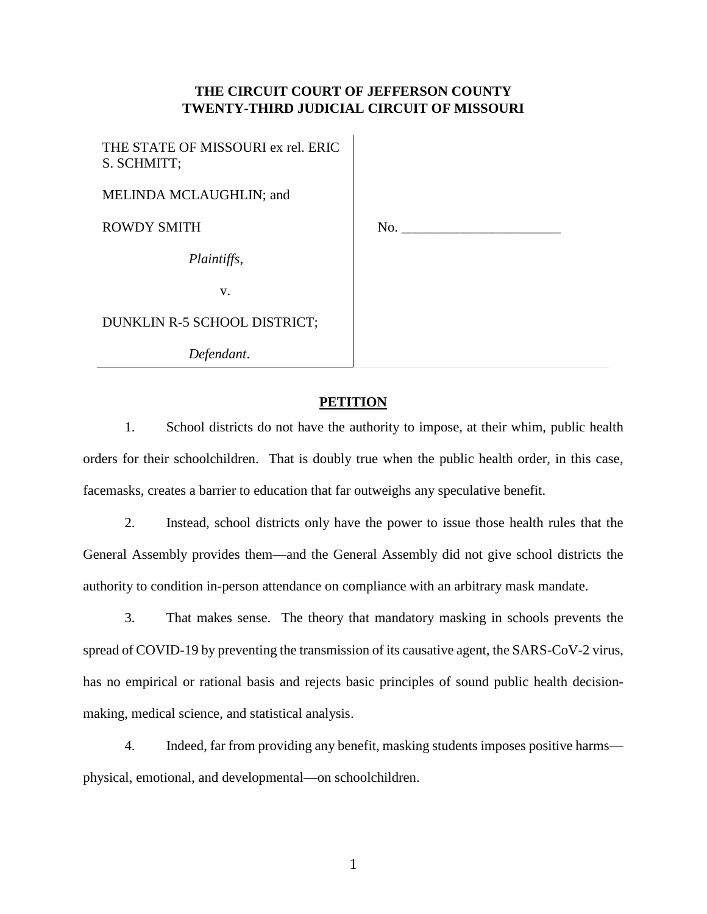## **THE CIRCUIT COURT OF JEFFERSON COUNTY TWENTY-THIRD JUDICIAL CIRCUIT OF MISSOURI**

 $\mathbf{I}$ 

| THE STATE OF MISSOURI ex rel. ERIC<br>S. SCHMITT; |     |
|---------------------------------------------------|-----|
| MELINDA MCLAUGHLIN; and                           |     |
| <b>ROWDY SMITH</b>                                | No. |
| Plaintiffs,                                       |     |
| V.                                                |     |
| DUNKLIN R-5 SCHOOL DISTRICT;                      |     |
| Defendant.                                        |     |

# **PETITION**

1. School districts do not have the authority to impose, at their whim, public health orders for their schoolchildren. That is doubly true when the public health order, in this case, facemasks, creates a barrier to education that far outweighs any speculative benefit.

2. Instead, school districts only have the power to issue those health rules that the General Assembly provides them—and the General Assembly did not give school districts the authority to condition in-person attendance on compliance with an arbitrary mask mandate.

3. That makes sense. The theory that mandatory masking in schools prevents the spread of COVID-19 by preventing the transmission of its causative agent, the SARS-CoV-2 virus, has no empirical or rational basis and rejects basic principles of sound public health decisionmaking, medical science, and statistical analysis.

4. Indeed, far from providing any benefit, masking students imposes positive harms physical, emotional, and developmental—on schoolchildren.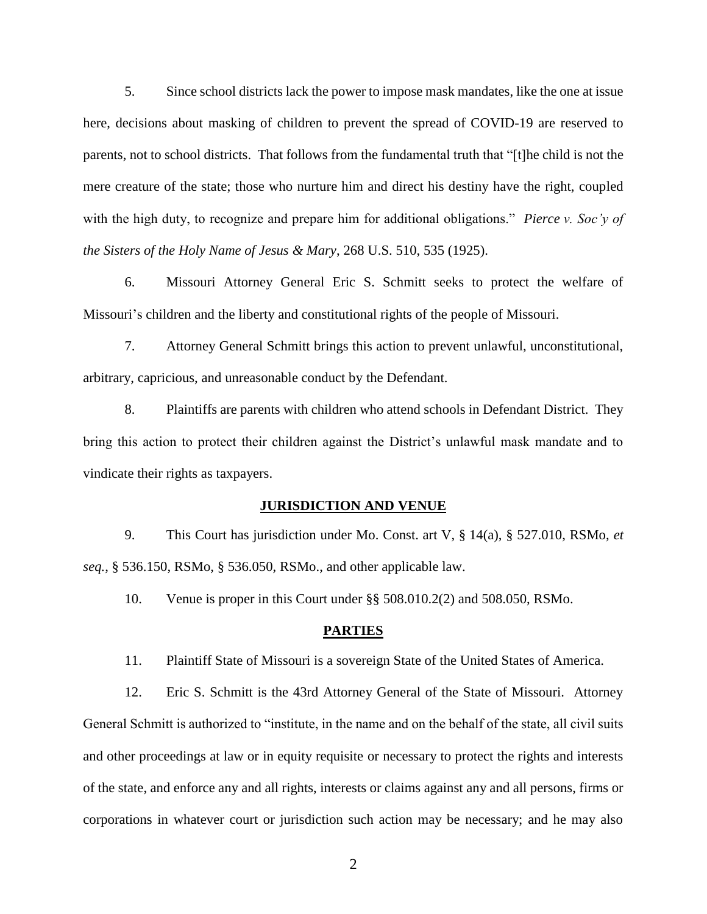5. Since school districts lack the power to impose mask mandates, like the one at issue here, decisions about masking of children to prevent the spread of COVID-19 are reserved to parents, not to school districts. That follows from the fundamental truth that "[t]he child is not the mere creature of the state; those who nurture him and direct his destiny have the right, coupled with the high duty, to recognize and prepare him for additional obligations." *Pierce v. Soc'y of the Sisters of the Holy Name of Jesus & Mary*, 268 U.S. 510, 535 (1925).

6. Missouri Attorney General Eric S. Schmitt seeks to protect the welfare of Missouri's children and the liberty and constitutional rights of the people of Missouri.

7. Attorney General Schmitt brings this action to prevent unlawful, unconstitutional, arbitrary, capricious, and unreasonable conduct by the Defendant.

8. Plaintiffs are parents with children who attend schools in Defendant District. They bring this action to protect their children against the District's unlawful mask mandate and to vindicate their rights as taxpayers.

#### **JURISDICTION AND VENUE**

9. This Court has jurisdiction under Mo. Const. art V, § 14(a), § 527.010, RSMo, *et seq.*, § 536.150, RSMo, § 536.050, RSMo., and other applicable law.

10. Venue is proper in this Court under §§ 508.010.2(2) and 508.050, RSMo.

### **PARTIES**

11. Plaintiff State of Missouri is a sovereign State of the United States of America.

12. Eric S. Schmitt is the 43rd Attorney General of the State of Missouri. Attorney General Schmitt is authorized to "institute, in the name and on the behalf of the state, all civil suits and other proceedings at law or in equity requisite or necessary to protect the rights and interests of the state, and enforce any and all rights, interests or claims against any and all persons, firms or corporations in whatever court or jurisdiction such action may be necessary; and he may also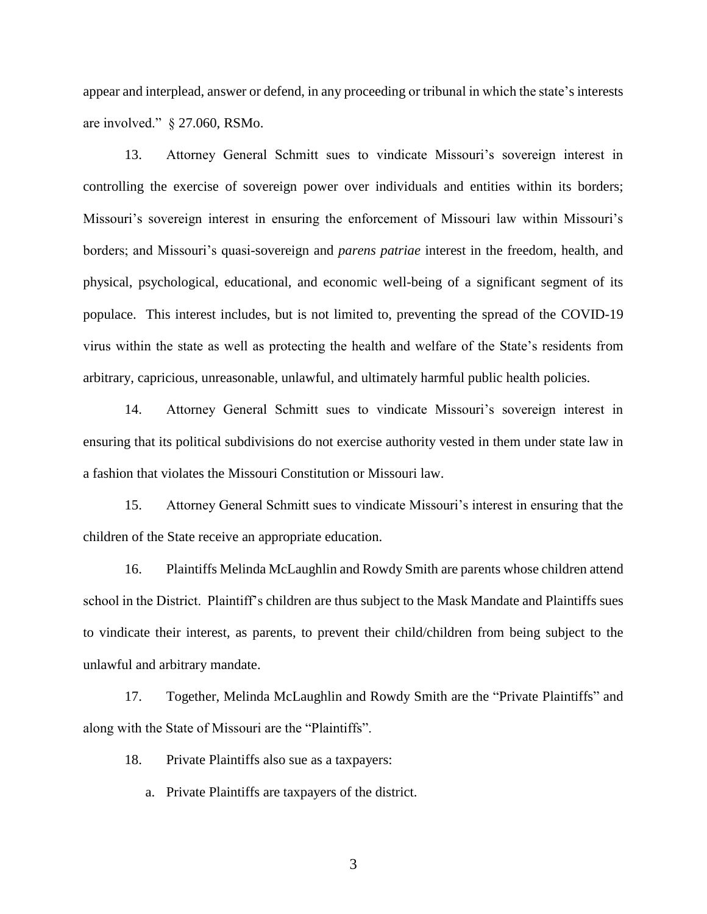appear and interplead, answer or defend, in any proceeding or tribunal in which the state's interests are involved." § 27.060, RSMo.

13. Attorney General Schmitt sues to vindicate Missouri's sovereign interest in controlling the exercise of sovereign power over individuals and entities within its borders; Missouri's sovereign interest in ensuring the enforcement of Missouri law within Missouri's borders; and Missouri's quasi-sovereign and *parens patriae* interest in the freedom, health, and physical, psychological, educational, and economic well-being of a significant segment of its populace. This interest includes, but is not limited to, preventing the spread of the COVID-19 virus within the state as well as protecting the health and welfare of the State's residents from arbitrary, capricious, unreasonable, unlawful, and ultimately harmful public health policies.

14. Attorney General Schmitt sues to vindicate Missouri's sovereign interest in ensuring that its political subdivisions do not exercise authority vested in them under state law in a fashion that violates the Missouri Constitution or Missouri law.

15. Attorney General Schmitt sues to vindicate Missouri's interest in ensuring that the children of the State receive an appropriate education.

16. Plaintiffs Melinda McLaughlin and Rowdy Smith are parents whose children attend school in the District. Plaintiff's children are thus subject to the Mask Mandate and Plaintiffs sues to vindicate their interest, as parents, to prevent their child/children from being subject to the unlawful and arbitrary mandate.

17. Together, Melinda McLaughlin and Rowdy Smith are the "Private Plaintiffs" and along with the State of Missouri are the "Plaintiffs".

18. Private Plaintiffs also sue as a taxpayers:

a. Private Plaintiffs are taxpayers of the district.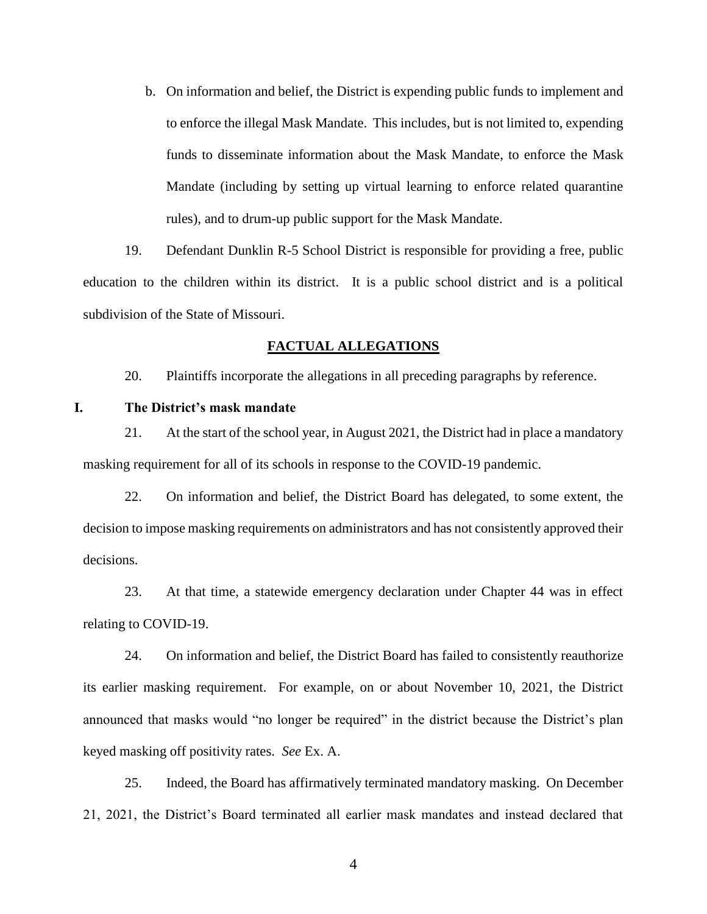b. On information and belief, the District is expending public funds to implement and to enforce the illegal Mask Mandate. This includes, but is not limited to, expending funds to disseminate information about the Mask Mandate, to enforce the Mask Mandate (including by setting up virtual learning to enforce related quarantine rules), and to drum-up public support for the Mask Mandate.

19. Defendant Dunklin R-5 School District is responsible for providing a free, public education to the children within its district. It is a public school district and is a political subdivision of the State of Missouri.

### **FACTUAL ALLEGATIONS**

20. Plaintiffs incorporate the allegations in all preceding paragraphs by reference.

### **I. The District's mask mandate**

21. At the start of the school year, in August 2021, the District had in place a mandatory masking requirement for all of its schools in response to the COVID-19 pandemic.

22. On information and belief, the District Board has delegated, to some extent, the decision to impose masking requirements on administrators and has not consistently approved their decisions.

23. At that time, a statewide emergency declaration under Chapter 44 was in effect relating to COVID-19.

24. On information and belief, the District Board has failed to consistently reauthorize its earlier masking requirement. For example, on or about November 10, 2021, the District announced that masks would "no longer be required" in the district because the District's plan keyed masking off positivity rates. *See* Ex. A.

25. Indeed, the Board has affirmatively terminated mandatory masking. On December 21, 2021, the District's Board terminated all earlier mask mandates and instead declared that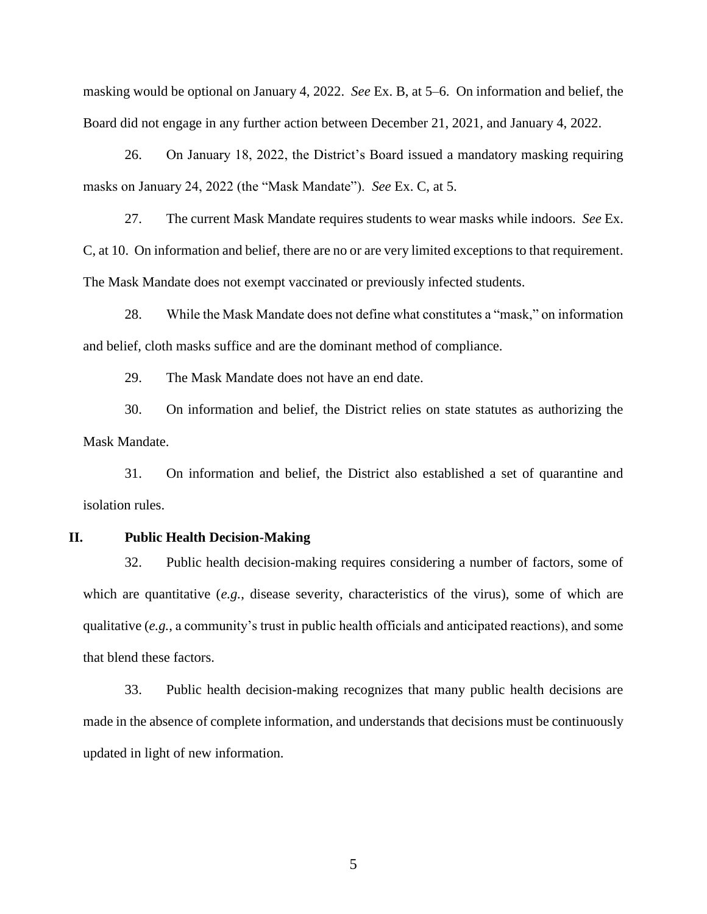masking would be optional on January 4, 2022. *See* Ex. B, at 5–6. On information and belief, the Board did not engage in any further action between December 21, 2021, and January 4, 2022.

26. On January 18, 2022, the District's Board issued a mandatory masking requiring masks on January 24, 2022 (the "Mask Mandate"). *See* Ex. C, at 5.

27. The current Mask Mandate requires students to wear masks while indoors. *See* Ex. C, at 10. On information and belief, there are no or are very limited exceptions to that requirement. The Mask Mandate does not exempt vaccinated or previously infected students.

28. While the Mask Mandate does not define what constitutes a "mask," on information and belief, cloth masks suffice and are the dominant method of compliance.

29. The Mask Mandate does not have an end date.

30. On information and belief, the District relies on state statutes as authorizing the Mask Mandate.

31. On information and belief, the District also established a set of quarantine and isolation rules.

### **II. Public Health Decision-Making**

32. Public health decision-making requires considering a number of factors, some of which are quantitative (*e.g.*, disease severity, characteristics of the virus), some of which are qualitative (*e.g.*, a community's trust in public health officials and anticipated reactions), and some that blend these factors.

33. Public health decision-making recognizes that many public health decisions are made in the absence of complete information, and understands that decisions must be continuously updated in light of new information.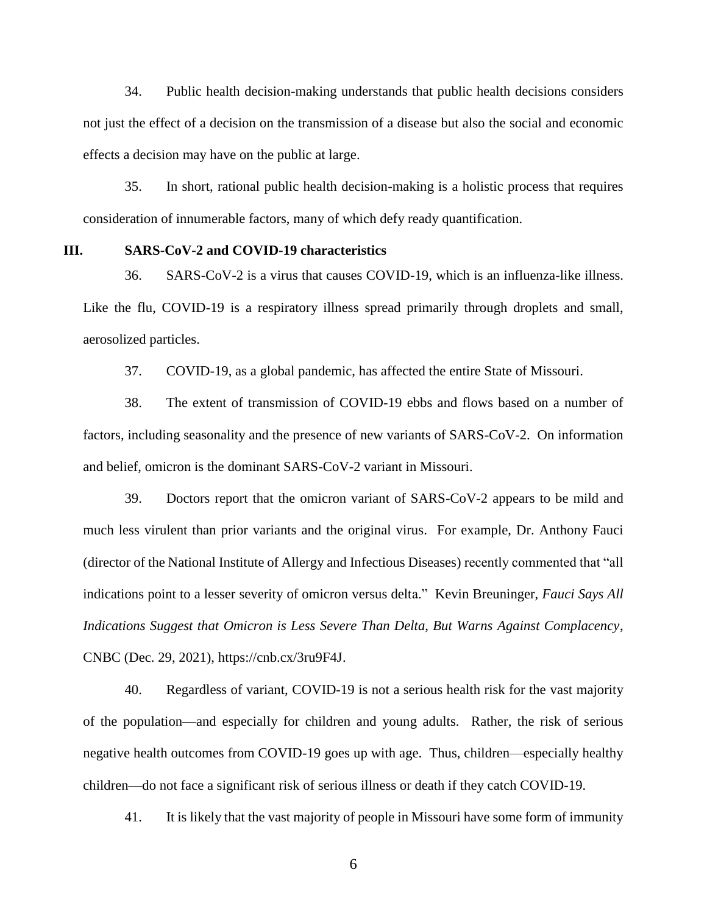34. Public health decision-making understands that public health decisions considers not just the effect of a decision on the transmission of a disease but also the social and economic effects a decision may have on the public at large.

35. In short, rational public health decision-making is a holistic process that requires consideration of innumerable factors, many of which defy ready quantification.

### **III. SARS-CoV-2 and COVID-19 characteristics**

36. SARS-CoV-2 is a virus that causes COVID-19, which is an influenza-like illness. Like the flu, COVID-19 is a respiratory illness spread primarily through droplets and small, aerosolized particles.

37. COVID-19, as a global pandemic, has affected the entire State of Missouri.

38. The extent of transmission of COVID-19 ebbs and flows based on a number of factors, including seasonality and the presence of new variants of SARS-CoV-2. On information and belief, omicron is the dominant SARS-CoV-2 variant in Missouri.

39. Doctors report that the omicron variant of SARS-CoV-2 appears to be mild and much less virulent than prior variants and the original virus. For example, Dr. Anthony Fauci (director of the National Institute of Allergy and Infectious Diseases) recently commented that "all indications point to a lesser severity of omicron versus delta." Kevin Breuninger, *Fauci Says All Indications Suggest that Omicron is Less Severe Than Delta, But Warns Against Complacency*, CNBC (Dec. 29, 2021), https://cnb.cx/3ru9F4J.

40. Regardless of variant, COVID-19 is not a serious health risk for the vast majority of the population—and especially for children and young adults. Rather, the risk of serious negative health outcomes from COVID-19 goes up with age. Thus, children—especially healthy children—do not face a significant risk of serious illness or death if they catch COVID-19.

41. It is likely that the vast majority of people in Missouri have some form of immunity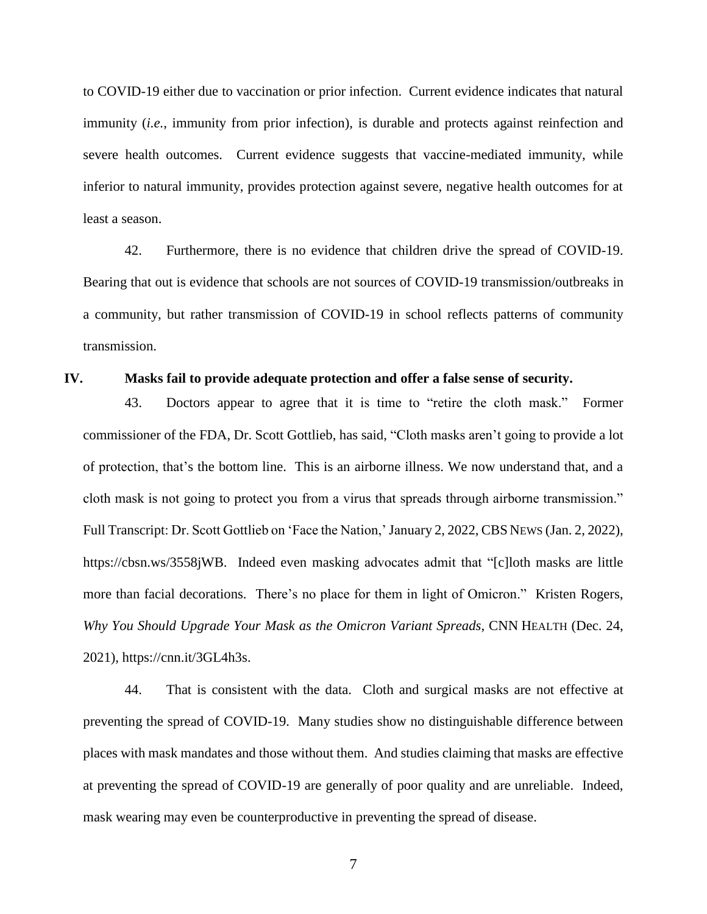to COVID-19 either due to vaccination or prior infection. Current evidence indicates that natural immunity (*i.e.*, immunity from prior infection), is durable and protects against reinfection and severe health outcomes. Current evidence suggests that vaccine-mediated immunity, while inferior to natural immunity, provides protection against severe, negative health outcomes for at least a season.

42. Furthermore, there is no evidence that children drive the spread of COVID-19. Bearing that out is evidence that schools are not sources of COVID-19 transmission/outbreaks in a community, but rather transmission of COVID-19 in school reflects patterns of community transmission.

### **IV. Masks fail to provide adequate protection and offer a false sense of security.**

43. Doctors appear to agree that it is time to "retire the cloth mask." Former commissioner of the FDA, Dr. Scott Gottlieb, has said, "Cloth masks aren't going to provide a lot of protection, that's the bottom line. This is an airborne illness. We now understand that, and a cloth mask is not going to protect you from a virus that spreads through airborne transmission." Full Transcript: Dr. Scott Gottlieb on 'Face the Nation,' January 2, 2022, CBS NEWS (Jan. 2, 2022), https://cbsn.ws/3558jWB. Indeed even masking advocates admit that "[c]loth masks are little more than facial decorations. There's no place for them in light of Omicron." Kristen Rogers, *Why You Should Upgrade Your Mask as the Omicron Variant Spreads*, CNN HEALTH (Dec. 24, 2021), https://cnn.it/3GL4h3s.

44. That is consistent with the data. Cloth and surgical masks are not effective at preventing the spread of COVID-19. Many studies show no distinguishable difference between places with mask mandates and those without them. And studies claiming that masks are effective at preventing the spread of COVID-19 are generally of poor quality and are unreliable. Indeed, mask wearing may even be counterproductive in preventing the spread of disease.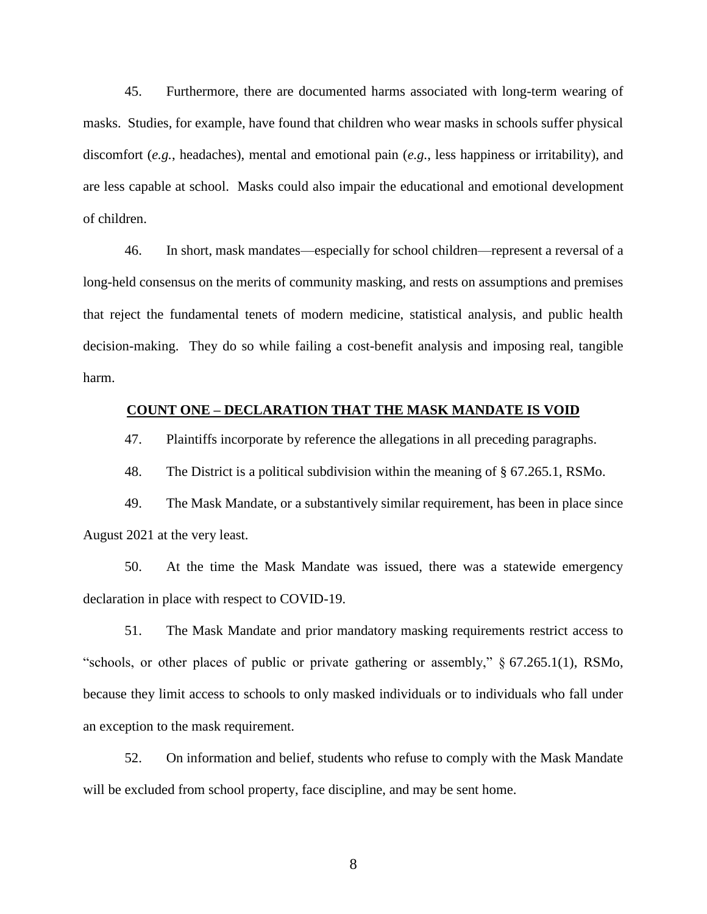45. Furthermore, there are documented harms associated with long-term wearing of masks. Studies, for example, have found that children who wear masks in schools suffer physical discomfort (*e.g.*, headaches), mental and emotional pain (*e.g.*, less happiness or irritability), and are less capable at school. Masks could also impair the educational and emotional development of children.

46. In short, mask mandates—especially for school children—represent a reversal of a long-held consensus on the merits of community masking, and rests on assumptions and premises that reject the fundamental tenets of modern medicine, statistical analysis, and public health decision-making. They do so while failing a cost-benefit analysis and imposing real, tangible harm.

### **COUNT ONE – DECLARATION THAT THE MASK MANDATE IS VOID**

47. Plaintiffs incorporate by reference the allegations in all preceding paragraphs.

48. The District is a political subdivision within the meaning of § 67.265.1, RSMo.

49. The Mask Mandate, or a substantively similar requirement, has been in place since August 2021 at the very least.

50. At the time the Mask Mandate was issued, there was a statewide emergency declaration in place with respect to COVID-19.

51. The Mask Mandate and prior mandatory masking requirements restrict access to "schools, or other places of public or private gathering or assembly," § 67.265.1(1), RSMo, because they limit access to schools to only masked individuals or to individuals who fall under an exception to the mask requirement.

52. On information and belief, students who refuse to comply with the Mask Mandate will be excluded from school property, face discipline, and may be sent home.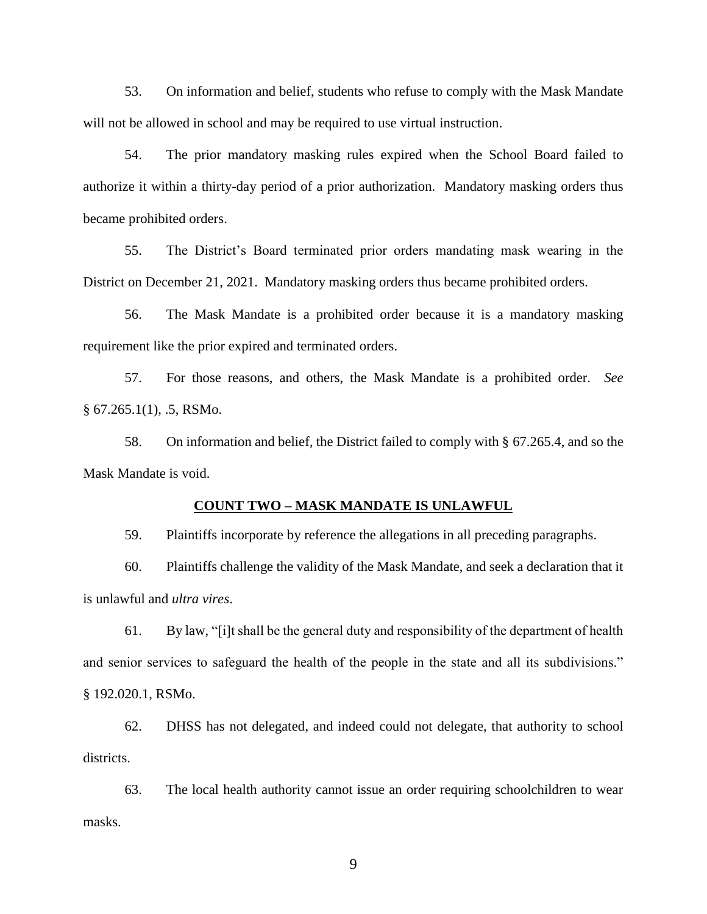53. On information and belief, students who refuse to comply with the Mask Mandate will not be allowed in school and may be required to use virtual instruction.

54. The prior mandatory masking rules expired when the School Board failed to authorize it within a thirty-day period of a prior authorization. Mandatory masking orders thus became prohibited orders.

55. The District's Board terminated prior orders mandating mask wearing in the District on December 21, 2021. Mandatory masking orders thus became prohibited orders.

56. The Mask Mandate is a prohibited order because it is a mandatory masking requirement like the prior expired and terminated orders.

57. For those reasons, and others, the Mask Mandate is a prohibited order. *See*   $§ 67.265.1(1), .5, RSMo.$ 

58. On information and belief, the District failed to comply with § 67.265.4, and so the Mask Mandate is void.

### **COUNT TWO – MASK MANDATE IS UNLAWFUL**

59. Plaintiffs incorporate by reference the allegations in all preceding paragraphs.

60. Plaintiffs challenge the validity of the Mask Mandate, and seek a declaration that it is unlawful and *ultra vires*.

61. By law, "[i]t shall be the general duty and responsibility of the department of health and senior services to safeguard the health of the people in the state and all its subdivisions." § 192.020.1, RSMo.

62. DHSS has not delegated, and indeed could not delegate, that authority to school districts.

63. The local health authority cannot issue an order requiring schoolchildren to wear masks.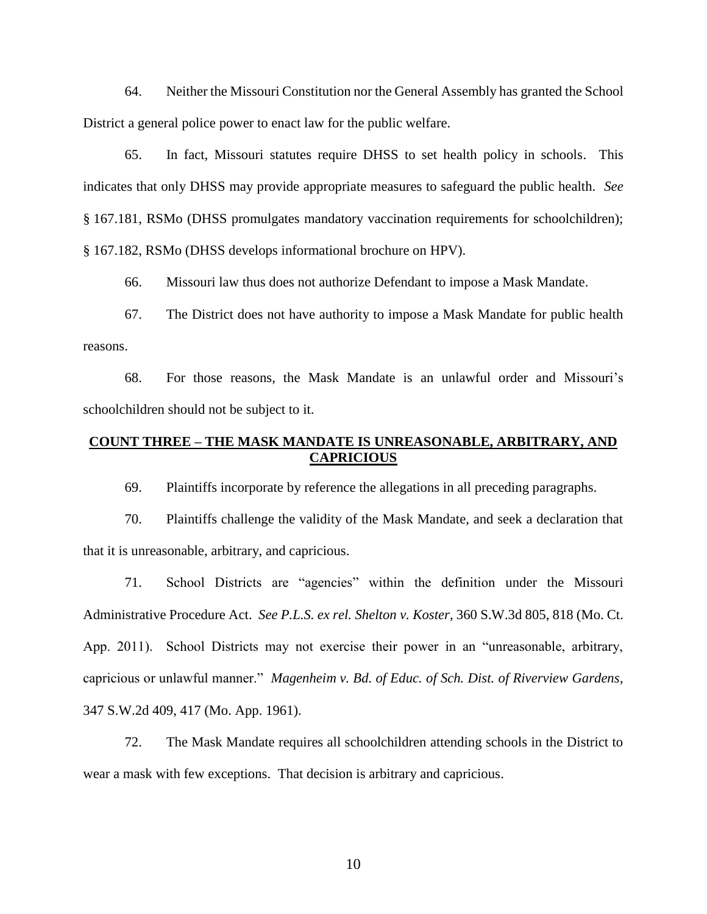64. Neither the Missouri Constitution nor the General Assembly has granted the School District a general police power to enact law for the public welfare.

65. In fact, Missouri statutes require DHSS to set health policy in schools. This indicates that only DHSS may provide appropriate measures to safeguard the public health. *See*  § 167.181, RSMo (DHSS promulgates mandatory vaccination requirements for schoolchildren); § 167.182, RSMo (DHSS develops informational brochure on HPV).

66. Missouri law thus does not authorize Defendant to impose a Mask Mandate.

67. The District does not have authority to impose a Mask Mandate for public health reasons.

68. For those reasons, the Mask Mandate is an unlawful order and Missouri's schoolchildren should not be subject to it.

## **COUNT THREE – THE MASK MANDATE IS UNREASONABLE, ARBITRARY, AND CAPRICIOUS**

69. Plaintiffs incorporate by reference the allegations in all preceding paragraphs.

70. Plaintiffs challenge the validity of the Mask Mandate, and seek a declaration that that it is unreasonable, arbitrary, and capricious.

71. School Districts are "agencies" within the definition under the Missouri Administrative Procedure Act. *See P.L.S. ex rel. Shelton v. Koster*, 360 S.W.3d 805, 818 (Mo. Ct. App. 2011). School Districts may not exercise their power in an "unreasonable, arbitrary, capricious or unlawful manner." *Magenheim v. Bd. of Educ. of Sch. Dist. of Riverview Gardens*, 347 S.W.2d 409, 417 (Mo. App. 1961).

72. The Mask Mandate requires all schoolchildren attending schools in the District to wear a mask with few exceptions. That decision is arbitrary and capricious.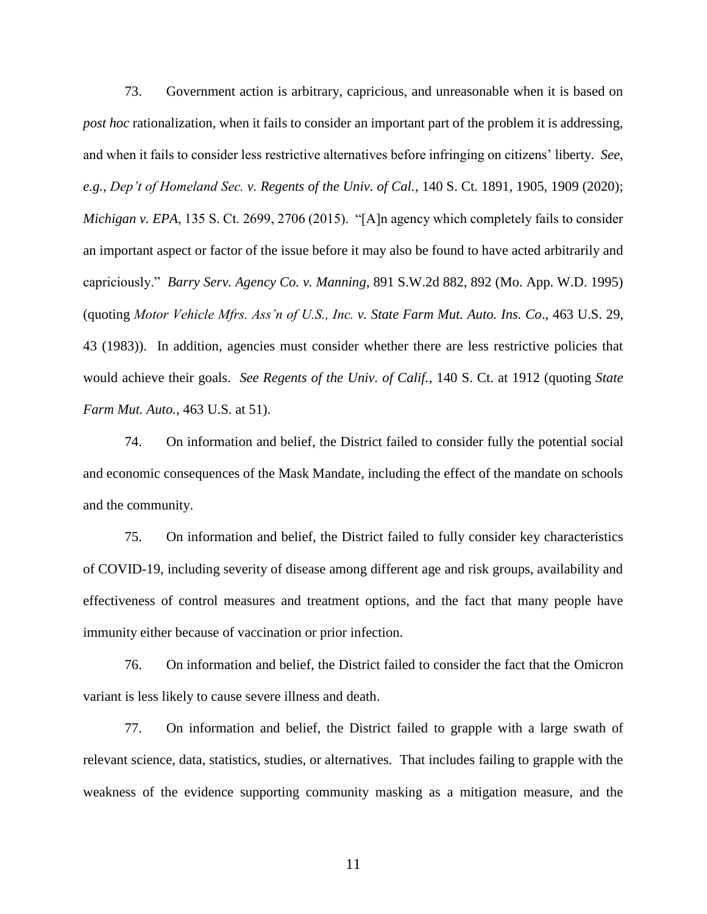73. Government action is arbitrary, capricious, and unreasonable when it is based on *post hoc* rationalization, when it fails to consider an important part of the problem it is addressing, and when it fails to consider less restrictive alternatives before infringing on citizens' liberty. *See*, *e.g.*, *Dep't of Homeland Sec. v. Regents of the Univ. of Cal.*, 140 S. Ct. 1891, 1905, 1909 (2020); *Michigan v. EPA*, 135 S. Ct. 2699, 2706 (2015). "[A]n agency which completely fails to consider an important aspect or factor of the issue before it may also be found to have acted arbitrarily and capriciously." *Barry Serv. Agency Co. v. Manning*, 891 S.W.2d 882, 892 (Mo. App. W.D. 1995) (quoting *Motor Vehicle Mfrs. Ass'n of U.S., Inc. v. State Farm Mut. Auto. Ins. Co*., 463 U.S. 29, 43 (1983)). In addition, agencies must consider whether there are less restrictive policies that would achieve their goals. *See Regents of the Univ. of Calif.*, 140 S. Ct. at 1912 (quoting *State Farm Mut. Auto.*, 463 U.S. at 51).

74. On information and belief, the District failed to consider fully the potential social and economic consequences of the Mask Mandate, including the effect of the mandate on schools and the community.

75. On information and belief, the District failed to fully consider key characteristics of COVID-19, including severity of disease among different age and risk groups, availability and effectiveness of control measures and treatment options, and the fact that many people have immunity either because of vaccination or prior infection.

76. On information and belief, the District failed to consider the fact that the Omicron variant is less likely to cause severe illness and death.

77. On information and belief, the District failed to grapple with a large swath of relevant science, data, statistics, studies, or alternatives. That includes failing to grapple with the weakness of the evidence supporting community masking as a mitigation measure, and the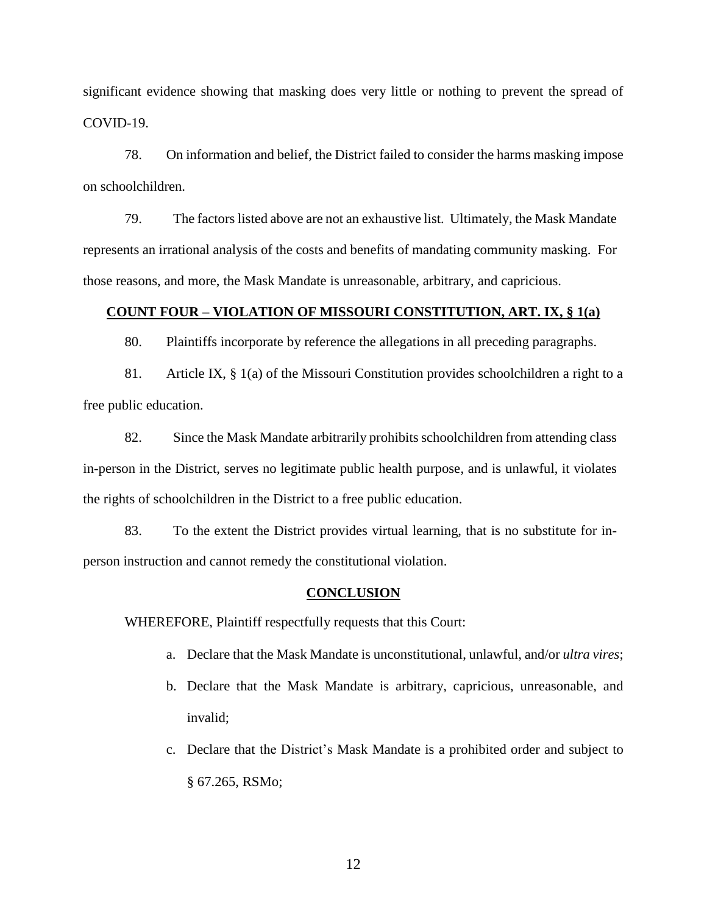significant evidence showing that masking does very little or nothing to prevent the spread of COVID-19.

78. On information and belief, the District failed to consider the harms masking impose on schoolchildren.

79. The factors listed above are not an exhaustive list. Ultimately, the Mask Mandate represents an irrational analysis of the costs and benefits of mandating community masking. For those reasons, and more, the Mask Mandate is unreasonable, arbitrary, and capricious.

### **COUNT FOUR – VIOLATION OF MISSOURI CONSTITUTION, ART. IX, § 1(a)**

80. Plaintiffs incorporate by reference the allegations in all preceding paragraphs.

81. Article IX, § 1(a) of the Missouri Constitution provides schoolchildren a right to a free public education.

82. Since the Mask Mandate arbitrarily prohibits schoolchildren from attending class in-person in the District, serves no legitimate public health purpose, and is unlawful, it violates the rights of schoolchildren in the District to a free public education.

83. To the extent the District provides virtual learning, that is no substitute for inperson instruction and cannot remedy the constitutional violation.

### **CONCLUSION**

WHEREFORE, Plaintiff respectfully requests that this Court:

- a. Declare that the Mask Mandate is unconstitutional, unlawful, and/or *ultra vires*;
- b. Declare that the Mask Mandate is arbitrary, capricious, unreasonable, and invalid;
- c. Declare that the District's Mask Mandate is a prohibited order and subject to § 67.265, RSMo;